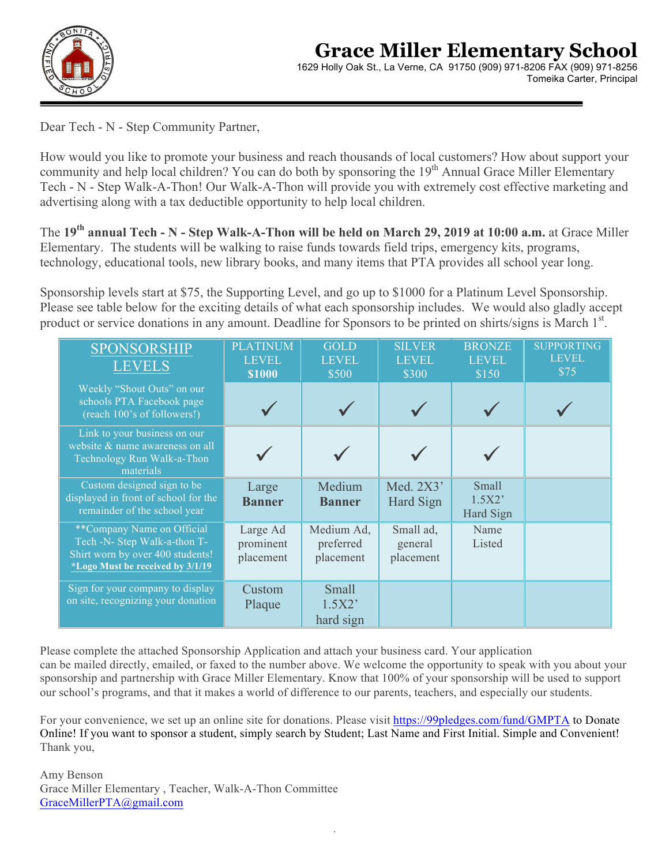

Dear Tech - N - Step Community Partner,

How would you like to promote your business and reach thousands of local customers? How about support your community and help local children? You can do both by sponsoring the 19<sup>th</sup> Annual Grace Miller Elementary Tech - N - Step Walk-A-Thon! Our Walk-A-Thon will provide you with extremely cost effective marketing and advertising along with a tax deductible opportunity to help local children.

The **19th annual Tech - N - Step Walk-A-Thon will be held on March 29, 2019 at 10:00 a.m.** at Grace Miller Elementary. The students will be walking to raise funds towards field trips, emergency kits, programs, technology, educational tools, new library books, and many items that PTA provides all school year long.

Sponsorship levels start at \$75, the Supporting Level, and go up to \$1000 for a Platinum Level Sponsorship. Please see table below for the exciting details of what each sponsorship includes. We would also gladly accept product or service donations in any amount. Deadline for Sponsors to be printed on shirts/signs is March 1<sup>st</sup>.

| <b>SPONSORSHIP</b><br><b>LEVELS</b>                                                                                                | <b>PLATINUM</b><br><b>LEVEL</b><br><b>\$1000</b> | <b>GOLD</b><br><b>LEVEL</b><br>\$500 | <b>SILVER</b><br><b>LEVEL</b><br>\$300 | <b>BRONZE</b><br><b>LEVEL</b><br>\$150 | <b>SUPPORTING</b><br><b>LEVEL</b><br>\$75 |
|------------------------------------------------------------------------------------------------------------------------------------|--------------------------------------------------|--------------------------------------|----------------------------------------|----------------------------------------|-------------------------------------------|
| Weekly "Shout Outs" on our<br>schools PTA Facebook page<br>(reach 100's of followers!)                                             |                                                  |                                      |                                        |                                        |                                           |
| Link to your business on our<br>website & name awareness on all<br>Technology Run Walk-a-Thon<br>materials                         |                                                  |                                      |                                        |                                        |                                           |
| Custom designed sign to be<br>displayed in front of school for the<br>remainder of the school year                                 | Large<br><b>Banner</b>                           | Medium<br><b>Banner</b>              | Med. 2X3'<br>Hard Sign                 | Small<br>1.5X2'<br>Hard Sign           |                                           |
| **Company Name on Official<br>Tech -N- Step Walk-a-thon T-<br>Shirt worn by over 400 students!<br>*Logo Must be received by 3/1/19 | Large Ad<br>prominent<br>placement               | Medium Ad,<br>preferred<br>placement | Small ad,<br>general<br>placement      | Name<br>Listed                         |                                           |
| Sign for your company to display<br>on site, recognizing your donation                                                             | Custom<br>Plaque                                 | <b>Small</b><br>1.5X2'<br>hard sign  |                                        |                                        |                                           |

Please complete the attached Sponsorship Application and attach your business card. Your application can be mailed directly, emailed, or faxed to the number above. We welcome the opportunity to speak with you about your sponsorship and partnership with Grace Miller Elementary. Know that 100% of your sponsorship will be used to support our school's programs, and that it makes a world of difference to our parents, teachers, and especially our students.

For your convenience, we set up an online site for donations. Please visit https://99pledges.com/fund/GMPTA to Donate Online! If you want to sponsor a student, simply search by Student; Last Name and First Initial. Simple and Convenient! Thank you,

*.*

Amy Benson Grace Miller Elementary , Teacher, Walk-A-Thon Committee GraceMillerPTA@gmail.com